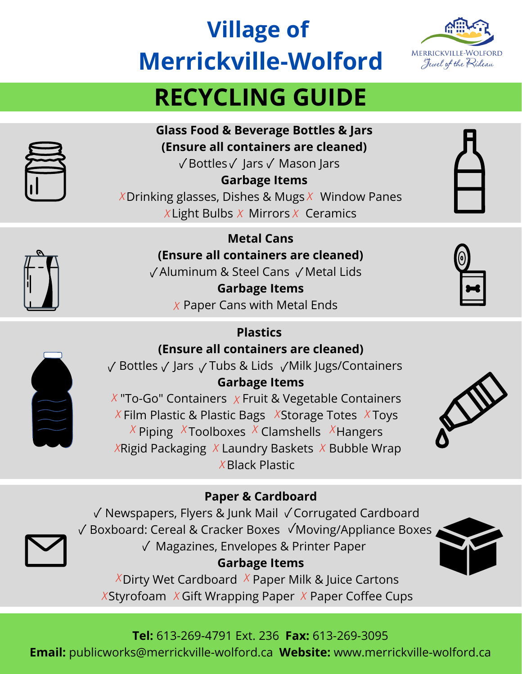# **Village of Merrickville-Wolford**



# **RECYCLING GUIDE**



**Glass Food & Beverage Bottles & Jars (Ensure all containers are cleaned)**

 $\sqrt{\mathsf{Bottles}} \sqrt{\mathsf{Jars}} \sqrt{\mathsf{Mason}}$  Jars

**Garbage Items** X Drinking glasses, Dishes & Mugs X Window Panes X Light Bulbs  $X$  Mirrors  $X$  Ceramics

> **Metal Cans (Ensure all containers are cleaned)**  $\sqrt{}$  Aluminum & Steel Cans  $\sqrt{}$  Metal Lids

**Garbage Items**  $X$  Paper Cans with Metal Ends

## **Plastics**

## **(Ensure all containers are cleaned)**

 $\sqrt{\ }$  Bottles  $\sqrt{\ }$  Jars  $\sqrt{\ }$  Tubs & Lids  $\sqrt{\ }$ Milk Jugs/Containers **Garbage Items**

 $X$  "To-Go" Containers  $X$  Fruit & Vegetable Containers  $X$  Film Plastic & Plastic Bags  $X$ Storage Totes XToys  $X$  Piping X Toolboxes X Clamshells X Hangers  $X$ Rigid Packaging X Laundry Baskets X Bubble Wrap  $X$ Black Plastic



## **Paper & Cardboard**

 $\sqrt{\ }$  Newspapers, Flyers & Junk Mail  $\sqrt{\ }$  Corrugated Cardboard  $\sqrt{\frac{1}{10}}$  Boxboard: Cereal & Cracker Boxes  $\sqrt{\frac{1}{10}}$ Moving/Appliance Boxes  $\sqrt{ }$  Magazines, Envelopes & Printer Paper **Garbage Items**

 $X$ Dirty Wet Cardboard  $X$  Paper Milk & Juice Cartons  $X$ Styrofoam X Gift Wrapping Paper X Paper Coffee Cups



### **Tel:** 613-269-4791 Ext. 236 **Fax:** 613-269-3095 **Email:** publicworks@merrickville-wolford.ca **Website:** www.merrickville-wolford.ca